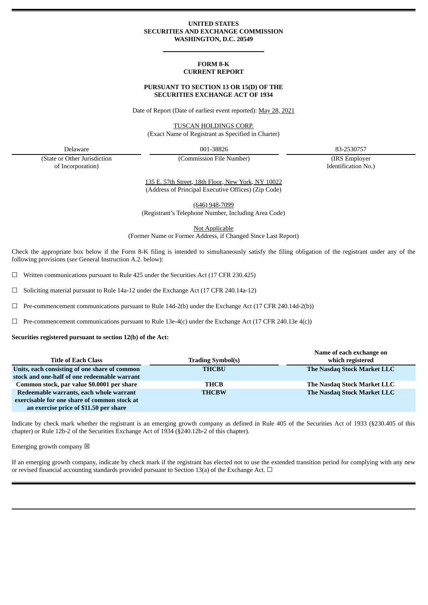## **UNITED STATES SECURITIES AND EXCHANGE COMMISSION WASHINGTON, D.C. 20549**

### **FORM 8-K CURRENT REPORT**

## **PURSUANT TO SECTION 13 OR 15(D) OF THE SECURITIES EXCHANGE ACT OF 1934**

Date of Report (Date of earliest event reported): May 28, 2021

TUSCAN HOLDINGS CORP. (Exact Name of Registrant as Specified in Charter)

Delaware 001-38826 83-2530757

(State or Other Jurisdiction (Commission File Number) (IRS Employer

of Incorporation) Identification No.)

135 E. 57th Street, 18th Floor, New York, NY 10022 (Address of Principal Executive Offices) (Zip Code)

(646) 948-7099 (Registrant's Telephone Number, Including Area Code)

Not Applicable

(Former Name or Former Address, if Changed Since Last Report)

Check the appropriate box below if the Form 8-K filing is intended to simultaneously satisfy the filing obligation of the registrant under any of the following provisions (*see* General Instruction A.2. below):

☐ Written communications pursuant to Rule 425 under the Securities Act (17 CFR 230.425)

☐ Soliciting material pursuant to Rule 14a-12 under the Exchange Act (17 CFR 240.14a-12)

 $\Box$  Pre-commencement communications pursuant to Rule 14d-2(b) under the Exchange Act (17 CFR 240.14d-2(b))

 $\Box$  Pre-commencement communications pursuant to Rule 13e-4(c) under the Exchange Act (17 CFR 240.13e 4(c))

**Securities registered pursuant to section 12(b) of the Act:**

|                                               |                          | Name of each exchange on    |
|-----------------------------------------------|--------------------------|-----------------------------|
| <b>Title of Each Class</b>                    | <b>Trading Symbol(s)</b> | which registered            |
| Units, each consisting of one share of common | <b>THCBU</b>             | The Nasdaq Stock Market LLC |
| stock and one-half of one redeemable warrant  |                          |                             |
| Common stock, par value \$0.0001 per share    | <b>THCB</b>              | The Nasdag Stock Market LLC |
| Redeemable warrants, each whole warrant       | <b>THCBW</b>             | The Nasdaq Stock Market LLC |
| exercisable for one share of common stock at  |                          |                             |
| an exercise price of \$11.50 per share        |                          |                             |

Indicate by check mark whether the registrant is an emerging growth company as defined in Rule 405 of the Securities Act of 1933 (§230.405 of this chapter) or Rule 12b-2 of the Securities Exchange Act of 1934 (§240.12b-2 of this chapter).

Emerging growth company  $\boxtimes$ 

If an emerging growth company, indicate by check mark if the registrant has elected not to use the extended transition period for complying with any new or revised financial accounting standards provided pursuant to Section 13(a) of the Exchange Act.  $\Box$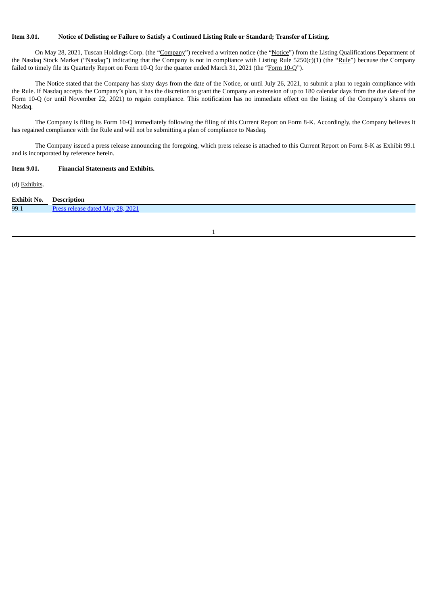## Item 3.01. Notice of Delisting or Failure to Satisfy a Continued Listing Rule or Standard: Transfer of Listing.

On May 28, 2021, Tuscan Holdings Corp. (the "Company") received a written notice (the "Notice") from the Listing Qualifications Department of the Nasdaq Stock Market ("Nasdaq") indicating that the Company is not in compliance with Listing Rule 5250(c)(1) (the "Rule") because the Company failed to timely file its Quarterly Report on Form 10-Q for the quarter ended March 31, 2021 (the "Form 10-Q").

The Notice stated that the Company has sixty days from the date of the Notice, or until July 26, 2021, to submit a plan to regain compliance with the Rule. If Nasdaq accepts the Company's plan, it has the discretion to grant the Company an extension of up to 180 calendar days from the due date of the Form 10-Q (or until November 22, 2021) to regain compliance. This notification has no immediate effect on the listing of the Company's shares on Nasdaq.

The Company is filing its Form 10-Q immediately following the filing of this Current Report on Form 8-K. Accordingly, the Company believes it has regained compliance with the Rule and will not be submitting a plan of compliance to Nasdaq.

The Company issued a press release announcing the foregoing, which press release is attached to this Current Report on Form 8-K as Exhibit 99.1 and is incorporated by reference herein.

# **Item 9.01. Financial Statements and Exhibits.**

(d) Exhibits.

| <b>Exhibit No.</b> | <b>Description</b>                          |
|--------------------|---------------------------------------------|
| 99.1               | 202 <sup>1</sup><br><b>ABCA</b><br>$\cdots$ |
|                    |                                             |

1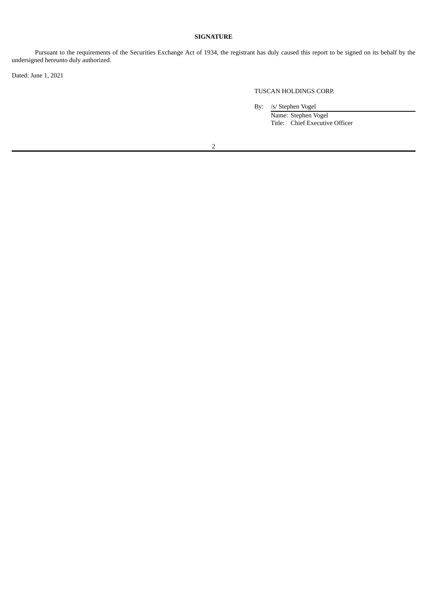# **SIGNATURE**

Pursuant to the requirements of the Securities Exchange Act of 1934, the registrant has duly caused this report to be signed on its behalf by the undersigned hereunto duly authorized.

Dated: June 1, 2021

TUSCAN HOLDINGS CORP.

By: /s/ Stephen Vogel

Name: Stephen Vogel Title: Chief Executive Officer

2